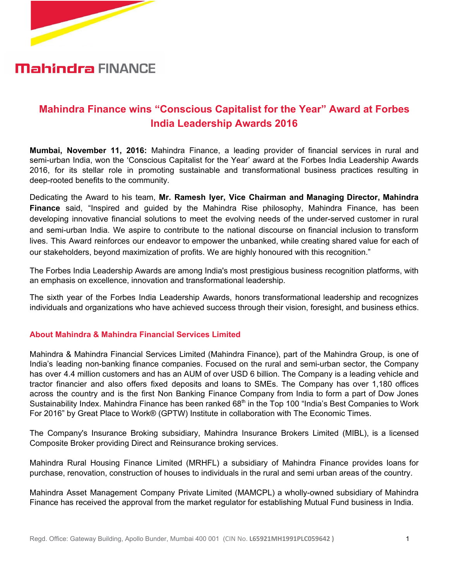

## **Mahindra FINANCE**

### **Mahindra Finance wins "Conscious Capitalist for the Year" Award at Forbes India Leadership Awards 2016**

**Mumbai, November 11, 2016:** Mahindra Finance, a leading provider of financial services in rural and semi-urban India, won the 'Conscious Capitalist for the Year' award at the Forbes India Leadership Awards 2016, for its stellar role in promoting sustainable and transformational business practices resulting in deep-rooted benefits to the community.

Dedicating the Award to his team, **Mr. Ramesh Iyer, Vice Chairman and Managing Director, Mahindra Finance** said, "Inspired and guided by the Mahindra Rise philosophy, Mahindra Finance, has been developing innovative financial solutions to meet the evolving needs of the under-served customer in rural and semi-urban India. We aspire to contribute to the national discourse on financial inclusion to transform lives. This Award reinforces our endeavor to empower the unbanked, while creating shared value for each of our stakeholders, beyond maximization of profits. We are highly honoured with this recognition."

The Forbes India Leadership Awards are among India's most prestigious business recognition platforms, with an emphasis on excellence, innovation and transformational leadership.

The sixth year of the Forbes India Leadership Awards, honors transformational leadership and recognizes individuals and organizations who have achieved success through their vision, foresight, and business ethics.

#### **About Mahindra & Mahindra Financial Services Limited**

Mahindra & Mahindra Financial Services Limited (Mahindra Finance), part of the Mahindra Group, is one of India's leading non-banking finance companies. Focused on the rural and semi-urban sector, the Company has over 4.4 million customers and has an AUM of over USD 6 billion. The Company is a leading vehicle and tractor financier and also offers fixed deposits and loans to SMEs. The Company has over 1,180 offices across the country and is the first Non Banking Finance Company from India to form a part of Dow Jones Sustainability Index. Mahindra Finance has been ranked 68 $^{\text{th}}$  in the Top 100 "India's Best Companies to Work For 2016" by Great Place to Work® (GPTW) Institute in collaboration with The Economic Times.

The Company's Insurance Broking subsidiary, Mahindra Insurance Brokers Limited (MIBL), is a licensed Composite Broker providing Direct and Reinsurance broking services.

Mahindra Rural Housing Finance Limited (MRHFL) a subsidiary of Mahindra Finance provides loans for purchase, renovation, construction of houses to individuals in the rural and semi urban areas of the country.

Mahindra Asset Management Company Private Limited (MAMCPL) a wholly-owned subsidiary of Mahindra Finance has received the approval from the market regulator for establishing Mutual Fund business in India.